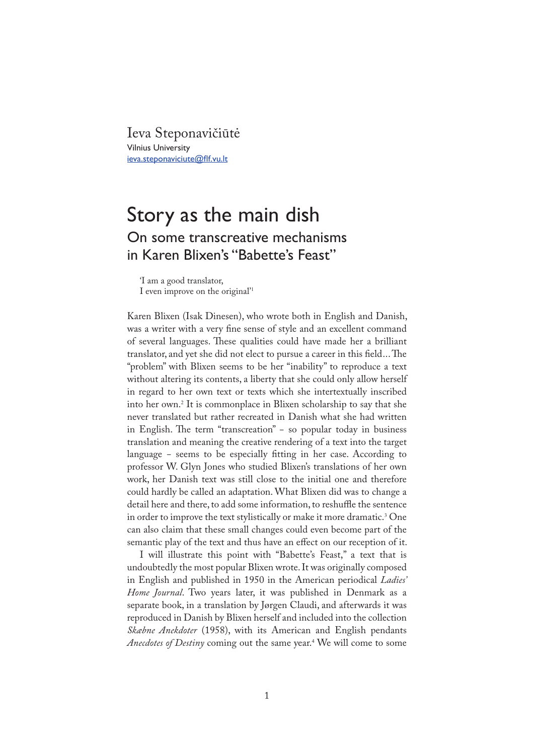Ieva Steponavičiūtė Vilnius University ieva.steponaviciute@flf.vu.lt

## Story as the main dish On some transcreative mechanisms in Karen Blixen's "Babette's Feast"

'I am a good translator, I even improve on the original'<sup>1</sup>

Karen Blixen (Isak Dinesen), who wrote both in English and Danish, was a writer with a very fine sense of style and an excellent command of several languages. These qualities could have made her a brilliant translator, and yet she did not elect to pursue a career in this field... The "problem" with Blixen seems to be her "inability" to reproduce a text without altering its contents, a liberty that she could only allow herself in regard to her own text or texts which she intertextually inscribed into her own.<sup>2</sup> It is commonplace in Blixen scholarship to say that she never translated but rather recreated in Danish what she had written in English. The term "transcreation" - so popular today in business translation and meaning the creative rendering of a text into the target language − seems to be especially �tting in her case. According to professor W. Glyn Jones who studied Blixen's translations of her own work, her Danish text was still close to the initial one and therefore could hardly be called an adaptation. What Blixen did was to change a detail here and there, to add some information, to reshuffle the sentence in order to improve the text stylistically or make it more dramatic.<sup>3</sup> One can also claim that these small changes could even become part of the semantic play of the text and thus have an effect on our reception of it.

I will illustrate this point with "Babette's Feast," a text that is undoubtedly the most popular Blixen wrote. It was originally composed in English and published in 1950 in the American periodical *Ladies' Home Journal*. Two years later, it was published in Denmark as a separate book, in a translation by Jørgen Claudi, and afterwards it was reproduced in Danish by Blixen herself and included into the collection *Skæbne Anekdoter* (1958), with its American and English pendants *Anecdotes of Destiny* coming out the same year.<sup>4</sup> We will come to some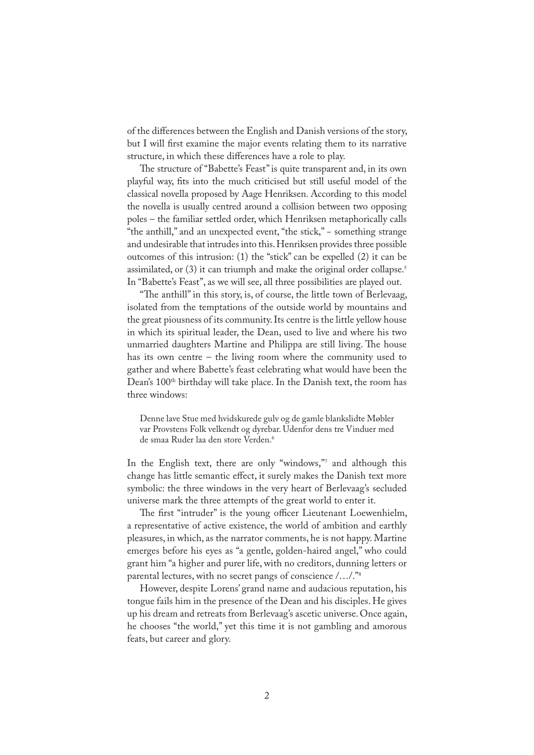of the differences between the English and Danish versions of the story, but I will first examine the major events relating them to its narrative structure, in which these differences have a role to play.

�e structure of "Babette's Feast" is quite transparent and, in its own playful way, �ts into the much criticised but still useful model of the classical novella proposed by Aage Henriksen. According to this model the novella is usually centred around a collision between two opposing poles – the familiar settled order, which Henriksen metaphorically calls "the anthill," and an unexpected event, "the stick," − something strange and undesirable that intrudes into this. Henriksen provides three possible outcomes of this intrusion: (1) the "stick" can be expelled (2) it can be assimilated, or (3) it can triumph and make the original order collapse.<sup>5</sup> In "Babette's Feast", as we will see, all three possibilities are played out.

"The anthill" in this story, is, of course, the little town of Berlevaag, isolated from the temptations of the outside world by mountains and the great piousness of its community. Its centre is the little yellow house in which its spiritual leader, the Dean, used to live and where his two unmarried daughters Martine and Philippa are still living. The house has its own centre – the living room where the community used to gather and where Babette's feast celebrating what would have been the Dean's 100<sup>th</sup> birthday will take place. In the Danish text, the room has three windows:

Denne lave Stue med hvidskurede gulv og de gamle blankslidte Møbler var Provstens Folk velkendt og dyrebar. Udenfor dens tre Vinduer med de smaa Ruder laa den store Verden.<sup>6</sup>

In the English text, there are only "windows,"<sup>7</sup> and although this change has little semantic effect, it surely makes the Danish text more symbolic: the three windows in the very heart of Berlevaag's secluded universe mark the three attempts of the great world to enter it.

The first "intruder" is the young officer Lieutenant Loewenhielm, a representative of active existence, the world of ambition and earthly pleasures, in which, as the narrator comments, he is not happy. Martine emerges before his eyes as "a gentle, golden-haired angel," who could grant him "a higher and purer life, with no creditors, dunning letters or parental lectures, with no secret pangs of conscience /…/."<sup>8</sup>

However, despite Lorens' grand name and audacious reputation, his tongue fails him in the presence of the Dean and his disciples. He gives up his dream and retreats from Berlevaag's ascetic universe. Once again, he chooses "the world," yet this time it is not gambling and amorous feats, but career and glory.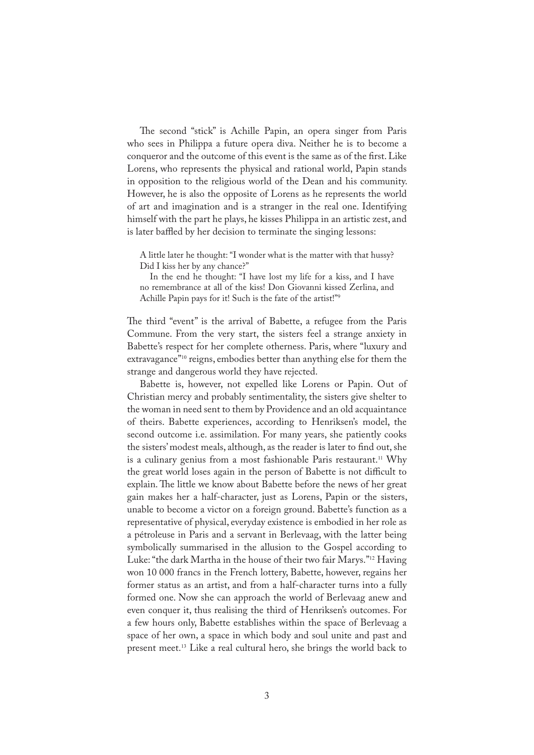The second "stick" is Achille Papin, an opera singer from Paris who sees in Philippa a future opera diva. Neither he is to become a conqueror and the outcome of this event is the same as of the first. Like Lorens, who represents the physical and rational world, Papin stands in opposition to the religious world of the Dean and his community. However, he is also the opposite of Lorens as he represents the world of art and imagination and is a stranger in the real one. Identifying himself with the part he plays, he kisses Philippa in an artistic zest, and is later baffled by her decision to terminate the singing lessons:

A little later he thought: "I wonder what is the matter with that hussy? Did I kiss her by any chance?"

 In the end he thought: "I have lost my life for a kiss, and I have no remembrance at all of the kiss! Don Giovanni kissed Zerlina, and Achille Papin pays for it! Such is the fate of the artist!"<sup>9</sup>

The third "event" is the arrival of Babette, a refugee from the Paris Commune. From the very start, the sisters feel a strange anxiety in Babette's respect for her complete otherness. Paris, where "luxury and extravagance"<sup>10</sup> reigns, embodies better than anything else for them the strange and dangerous world they have rejected.

Babette is, however, not expelled like Lorens or Papin. Out of Christian mercy and probably sentimentality, the sisters give shelter to the woman in need sent to them by Providence and an old acquaintance of theirs. Babette experiences, according to Henriksen's model, the second outcome i.e. assimilation. For many years, she patiently cooks the sisters' modest meals, although, as the reader is later to find out, she is a culinary genius from a most fashionable Paris restaurant.<sup>11</sup> Why the great world loses again in the person of Babette is not difficult to explain. The little we know about Babette before the news of her great gain makes her a half-character, just as Lorens, Papin or the sisters, unable to become a victor on a foreign ground. Babette's function as a representative of physical, everyday existence is embodied in her role as a pétroleuse in Paris and a servant in Berlevaag, with the latter being symbolically summarised in the allusion to the Gospel according to Luke: "the dark Martha in the house of their two fair Marys."<sup>12</sup> Having won 10 000 francs in the French lottery, Babette, however, regains her former status as an artist, and from a half-character turns into a fully formed one. Now she can approach the world of Berlevaag anew and even conquer it, thus realising the third of Henriksen's outcomes. For a few hours only, Babette establishes within the space of Berlevaag a space of her own, a space in which body and soul unite and past and present meet.<sup>13</sup> Like a real cultural hero, she brings the world back to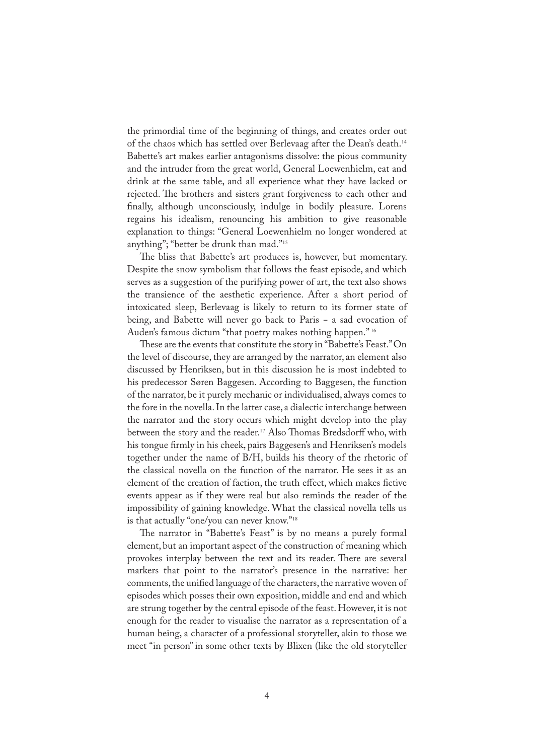the primordial time of the beginning of things, and creates order out of the chaos which has settled over Berlevaag after the Dean's death.<sup>14</sup> Babette's art makes earlier antagonisms dissolve: the pious community and the intruder from the great world, General Loewenhielm, eat and drink at the same table, and all experience what they have lacked or rejected. The brothers and sisters grant forgiveness to each other and finally, although unconsciously, indulge in bodily pleasure. Lorens regains his idealism, renouncing his ambition to give reasonable explanation to things: "General Loewenhielm no longer wondered at anything"; "better be drunk than mad."<sup>15</sup>

The bliss that Babette's art produces is, however, but momentary. Despite the snow symbolism that follows the feast episode, and which serves as a suggestion of the purifying power of art, the text also shows the transience of the aesthetic experience. After a short period of intoxicated sleep, Berlevaag is likely to return to its former state of being, and Babette will never go back to Paris − a sad evocation of Auden's famous dictum "that poetry makes nothing happen."<sup>16</sup>

These are the events that constitute the story in "Babette's Feast." On the level of discourse, they are arranged by the narrator, an element also discussed by Henriksen, but in this discussion he is most indebted to his predecessor Søren Baggesen. According to Baggesen, the function of the narrator, be it purely mechanic or individualised, always comes to the fore in the novella. In the latter case, a dialectic interchange between the narrator and the story occurs which might develop into the play between the story and the reader.<sup>17</sup> Also Thomas Bredsdorff who, with his tongue �rmly in his cheek, pairs Baggesen's and Henriksen's models together under the name of B/H, builds his theory of the rhetoric of the classical novella on the function of the narrator. He sees it as an element of the creation of faction, the truth effect, which makes fictive events appear as if they were real but also reminds the reader of the impossibility of gaining knowledge. What the classical novella tells us is that actually "one/you can never know."<sup>18</sup>

The narrator in "Babette's Feast" is by no means a purely formal element, but an important aspect of the construction of meaning which provokes interplay between the text and its reader. There are several markers that point to the narrator's presence in the narrative: her comments, the unified language of the characters, the narrative woven of episodes which posses their own exposition, middle and end and which are strung together by the central episode of the feast. However, it is not enough for the reader to visualise the narrator as a representation of a human being, a character of a professional storyteller, akin to those we meet "in person" in some other texts by Blixen (like the old storyteller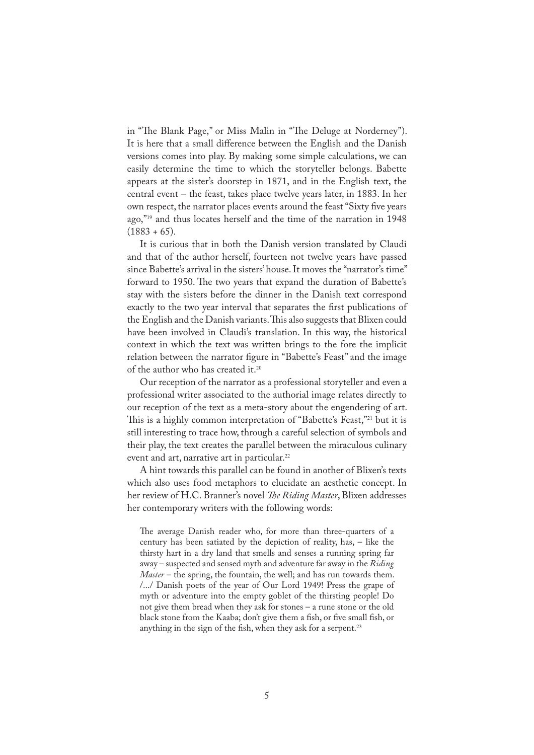in "The Blank Page," or Miss Malin in "The Deluge at Norderney"). It is here that a small difference between the English and the Danish versions comes into play. By making some simple calculations, we can easily determine the time to which the storyteller belongs. Babette appears at the sister's doorstep in 1871, and in the English text, the central event – the feast, takes place twelve years later, in 1883. In her own respect, the narrator places events around the feast "Sixty five years ago,"<sup>19</sup> and thus locates herself and the time of the narration in 1948  $(1883 + 65).$ 

It is curious that in both the Danish version translated by Claudi and that of the author herself, fourteen not twelve years have passed since Babette's arrival in the sisters' house. It moves the "narrator's time" forward to 1950. The two years that expand the duration of Babette's stay with the sisters before the dinner in the Danish text correspond exactly to the two year interval that separates the first publications of the English and the Danish variants. This also suggests that Blixen could have been involved in Claudi's translation. In this way, the historical context in which the text was written brings to the fore the implicit relation between the narrator figure in "Babette's Feast" and the image of the author who has created it.<sup>20</sup>

Our reception of the narrator as a professional storyteller and even a professional writer associated to the authorial image relates directly to our reception of the text as a meta-story about the engendering of art. This is a highly common interpretation of "Babette's Feast,"<sup>21</sup> but it is still interesting to trace how, through a careful selection of symbols and their play, the text creates the parallel between the miraculous culinary event and art, narrative art in particular.<sup>22</sup>

A hint towards this parallel can be found in another of Blixen's texts which also uses food metaphors to elucidate an aesthetic concept. In her review of H.C. Branner's novel *�e Riding Master*, Blixen addresses her contemporary writers with the following words:

The average Danish reader who, for more than three-quarters of a century has been satiated by the depiction of reality, has, – like the thirsty hart in a dry land that smells and senses a running spring far away – suspected and sensed myth and adventure far away in the *Riding Master* – the spring, the fountain, the well; and has run towards them. /.../ Danish poets of the year of Our Lord 1949! Press the grape of myth or adventure into the empty goblet of the thirsting people! Do not give them bread when they ask for stones – a rune stone or the old black stone from the Kaaba; don't give them a fish, or five small fish, or anything in the sign of the fish, when they ask for a serpent.<sup>23</sup>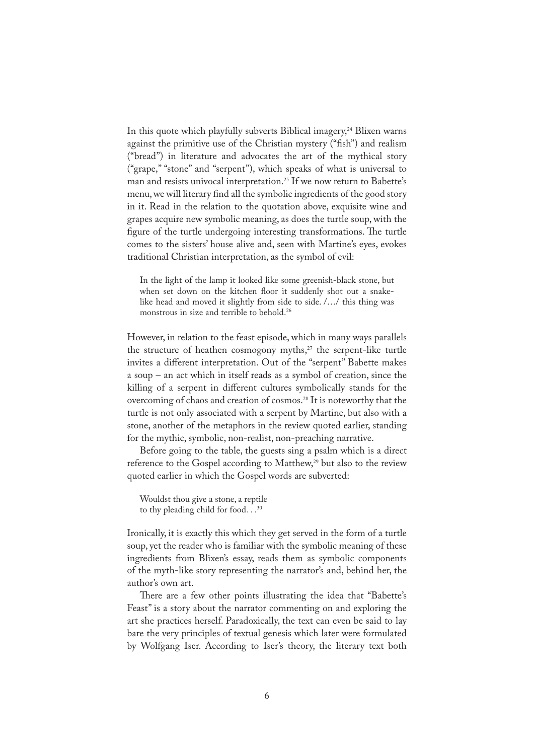In this quote which playfully subverts Biblical imagery,<sup>24</sup> Blixen warns against the primitive use of the Christian mystery ("fish") and realism ("bread") in literature and advocates the art of the mythical story ("grape," "stone" and "serpent"), which speaks of what is universal to man and resists univocal interpretation.<sup>25</sup> If we now return to Babette's menu, we will literary find all the symbolic ingredients of the good story in it. Read in the relation to the quotation above, exquisite wine and grapes acquire new symbolic meaning, as does the turtle soup, with the figure of the turtle undergoing interesting transformations. The turtle comes to the sisters' house alive and, seen with Martine's eyes, evokes traditional Christian interpretation, as the symbol of evil:

In the light of the lamp it looked like some greenish-black stone, but when set down on the kitchen floor it suddenly shot out a snakelike head and moved it slightly from side to side. /…/ this thing was monstrous in size and terrible to behold.<sup>26</sup>

However, in relation to the feast episode, which in many ways parallels the structure of heathen cosmogony myths,<sup>27</sup> the serpent-like turtle invites a different interpretation. Out of the "serpent" Babette makes a soup – an act which in itself reads as a symbol of creation, since the killing of a serpent in different cultures symbolically stands for the overcoming of chaos and creation of cosmos.<sup>28</sup> It is noteworthy that the turtle is not only associated with a serpent by Martine, but also with a stone, another of the metaphors in the review quoted earlier, standing for the mythic, symbolic, non-realist, non-preaching narrative.

Before going to the table, the guests sing a psalm which is a direct reference to the Gospel according to Matthew,<sup>29</sup> but also to the review quoted earlier in which the Gospel words are subverted:

Wouldst thou give a stone, a reptile to thy pleading child for food... $30$ 

Ironically, it is exactly this which they get served in the form of a turtle soup, yet the reader who is familiar with the symbolic meaning of these ingredients from Blixen's essay, reads them as symbolic components of the myth-like story representing the narrator's and, behind her, the author's own art.

There are a few other points illustrating the idea that "Babette's Feast" is a story about the narrator commenting on and exploring the art she practices herself. Paradoxically, the text can even be said to lay bare the very principles of textual genesis which later were formulated by Wolfgang Iser. According to Iser's theory, the literary text both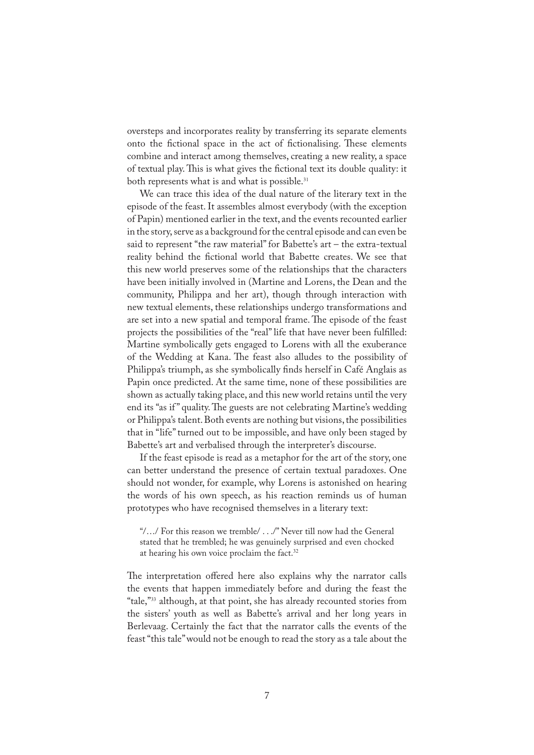oversteps and incorporates reality by transferring its separate elements onto the fictional space in the act of fictionalising. These elements combine and interact among themselves, creating a new reality, a space of textual play. This is what gives the fictional text its double quality: it both represents what is and what is possible.<sup>31</sup>

We can trace this idea of the dual nature of the literary text in the episode of the feast. It assembles almost everybody (with the exception of Papin) mentioned earlier in the text, and the events recounted earlier in the story, serve as a background for the central episode and can even be said to represent "the raw material" for Babette's art – the extra-textual reality behind the fictional world that Babette creates. We see that this new world preserves some of the relationships that the characters have been initially involved in (Martine and Lorens, the Dean and the community, Philippa and her art), though through interaction with new textual elements, these relationships undergo transformations and are set into a new spatial and temporal frame. The episode of the feast projects the possibilities of the "real" life that have never been fulfilled: Martine symbolically gets engaged to Lorens with all the exuberance of the Wedding at Kana. The feast also alludes to the possibility of Philippa's triumph, as she symbolically �nds herself in Café Anglais as Papin once predicted. At the same time, none of these possibilities are shown as actually taking place, and this new world retains until the very end its "as if" quality. The guests are not celebrating Martine's wedding or Philippa's talent. Both events are nothing but visions, the possibilities that in "life" turned out to be impossible, and have only been staged by Babette's art and verbalised through the interpreter's discourse.

If the feast episode is read as a metaphor for the art of the story, one can better understand the presence of certain textual paradoxes. One should not wonder, for example, why Lorens is astonished on hearing the words of his own speech, as his reaction reminds us of human prototypes who have recognised themselves in a literary text:

"/…/ For this reason we tremble/ . . ./" Never till now had the General stated that he trembled; he was genuinely surprised and even chocked at hearing his own voice proclaim the fact.<sup>32</sup>

The interpretation offered here also explains why the narrator calls the events that happen immediately before and during the feast the "tale,"<sup>33</sup> although, at that point, she has already recounted stories from the sisters' youth as well as Babette's arrival and her long years in Berlevaag. Certainly the fact that the narrator calls the events of the feast "this tale" would not be enough to read the story as a tale about the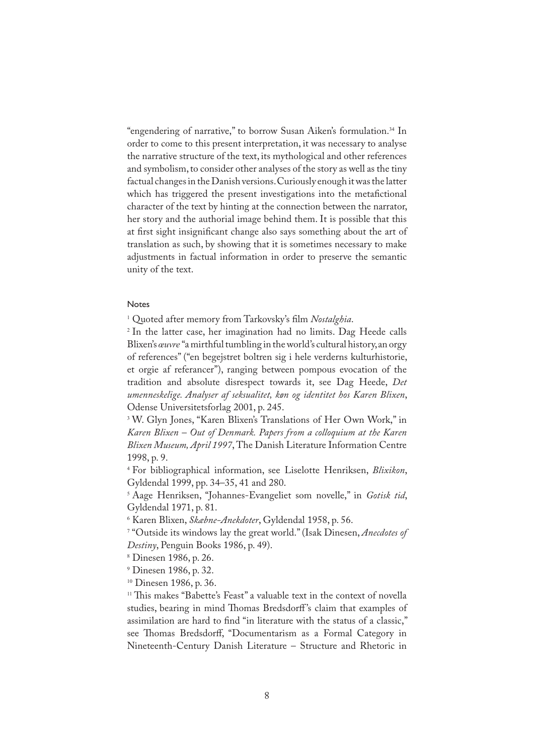"engendering of narrative," to borrow Susan Aiken's formulation.<sup>34</sup> In order to come to this present interpretation, it was necessary to analyse the narrative structure of the text, its mythological and other references and symbolism, to consider other analyses of the story as well as the tiny factual changes in the Danish versions. Curiously enough it was the latter which has triggered the present investigations into the metafictional character of the text by hinting at the connection between the narrator, her story and the authorial image behind them. It is possible that this at first sight insignificant change also says something about the art of translation as such, by showing that it is sometimes necessary to make adjustments in factual information in order to preserve the semantic unity of the text.

## Notes

1 Quoted after memory from Tarkovsky's �lm *Nostalghia*.

2 In the latter case, her imagination had no limits. Dag Heede calls Blixen's *œuvre* "a mirthful tumbling in the world's cultural history, an orgy of references" ("en begejstret boltren sig i hele verderns kulturhistorie, et orgie af referancer"), ranging between pompous evocation of the tradition and absolute disrespect towards it, see Dag Heede, *Det umenneskelige. Analyser af seksualitet, køn og identitet hos Karen Blixen*, Odense Universitetsforlag 2001, p. 245.

3 W. Glyn Jones, "Karen Blixen's Translations of Her Own Work," in *Karen Blixen – Out of Denmark. Papers from a colloquium at the Karen Blixen Museum, April 1997*, The Danish Literature Information Centre 1998, p. 9.

4 For bibliographical information, see Liselotte Henriksen, *Blixikon*, Gyldendal 1999, pp. 34–35, 41 and 280.

5 Aage Henriksen, "Johannes-Evangeliet som novelle," in *Gotisk tid*, Gyldendal 1971, p. 81.

6 Karen Blixen, *Skæbne-Anekdoter*, Gyldendal 1958, p. 56.

7 "Outside its windows lay the great world." (Isak Dinesen, *Anecdotes of Destiny*, Penguin Books 1986, p. 49).

8 Dinesen 1986, p. 26.

9 Dinesen 1986, p. 32.

<sup>10</sup> Dinesen 1986, p. 36.

<sup>11</sup> This makes "Babette's Feast" a valuable text in the context of novella studies, bearing in mind Thomas Bredsdorff's claim that examples of assimilation are hard to find "in literature with the status of a classic," see Thomas Bredsdorff, "Documentarism as a Formal Category in Nineteenth-Century Danish Literature – Structure and Rhetoric in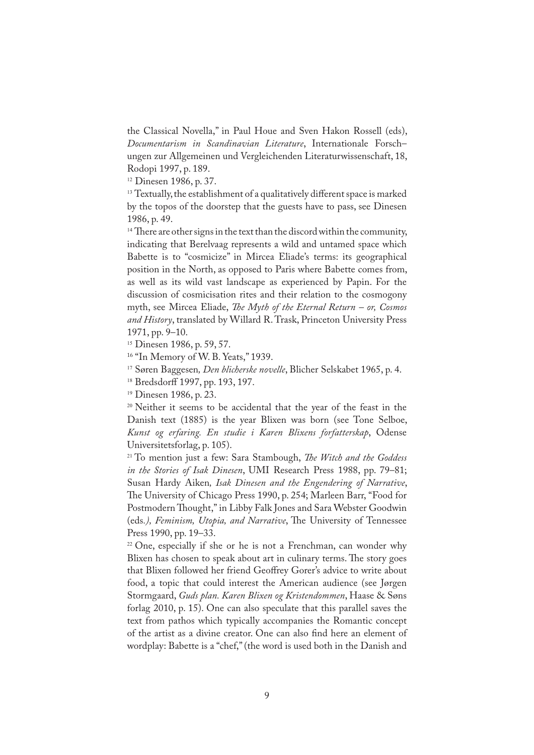the Classical Novella," in Paul Houe and Sven Hakon Rossell (eds), *Documentarism in Scandinavian Literature*, Internationale Forsch– ungen zur Allgemeinen und Vergleichenden Literaturwissenschaft, 18, Rodopi 1997, p. 189.

<sup>12</sup> Dinesen 1986, p. 37.

<sup>13</sup> Textually, the establishment of a qualitatively different space is marked by the topos of the doorstep that the guests have to pass, see Dinesen 1986, p. 49.

 $14$  There are other signs in the text than the discord within the community, indicating that Berelvaag represents a wild and untamed space which Babette is to "cosmicize" in Mircea Eliade's terms: its geographical position in the North, as opposed to Paris where Babette comes from, as well as its wild vast landscape as experienced by Papin. For the discussion of cosmicisation rites and their relation to the cosmogony myth, see Mircea Eliade, *�e Myth of the Eternal Return – or, Cosmos and History*, translated by Willard R. Trask, Princeton University Press 1971, pp. 9–10.

<sup>15</sup> Dinesen 1986, p. 59, 57.

<sup>16</sup> "In Memory of W. B. Yeats," 1939.

<sup>17</sup> Søren Baggesen*, Den blicherske novelle*, Blicher Selskabet 1965, p. 4.

<sup>18</sup> Bredsdorff 1997, pp. 193, 197.

<sup>19</sup> Dinesen 1986, p. 23.

<sup>20</sup> Neither it seems to be accidental that the year of the feast in the Danish text (1885) is the year Blixen was born (see Tone Selboe, *Kunst og erfaring. En studie i Karen Blixens forfatterskap*, Odense Universitetsforlag, p. 105).

<sup>21</sup> To mention just a few: Sara Stambough, *�e Witch and the Goddess in the Stories of Isak Dinesen*, UMI Research Press 1988, pp. 79–81; Susan Hardy Aiken*, Isak Dinesen and the Engendering of Narrative*, �e University of Chicago Press 1990, p. 254; Marleen Barr, "Food for Postmodern Thought," in Libby Falk Jones and Sara Webster Goodwin (eds.), Feminism, Utopia, and Narrative, The University of Tennessee Press 1990, pp. 19–33.

 $22$  One, especially if she or he is not a Frenchman, can wonder why Blixen has chosen to speak about art in culinary terms. The story goes that Blixen followed her friend Geoffrey Gorer's advice to write about food, a topic that could interest the American audience (see Jørgen Stormgaard, *Guds plan. Karen Blixen og Kristendommen*, Haase & Søns forlag 2010, p. 15). One can also speculate that this parallel saves the text from pathos which typically accompanies the Romantic concept of the artist as a divine creator. One can also �nd here an element of wordplay: Babette is a "chef," (the word is used both in the Danish and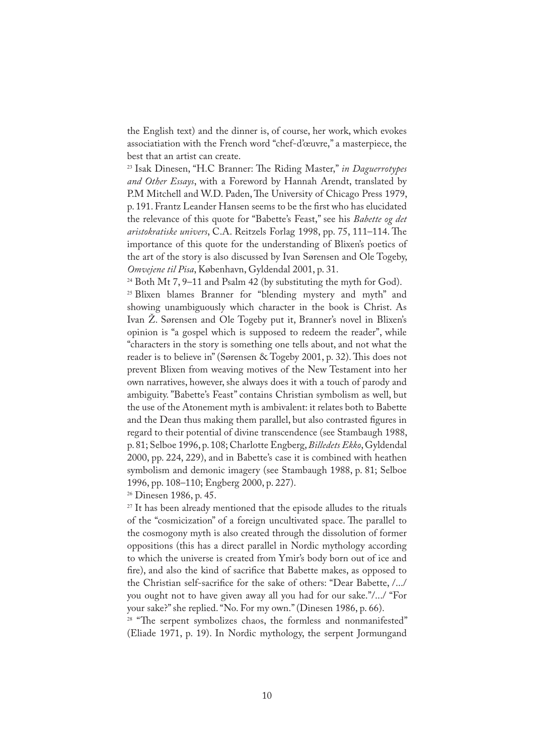the English text) and the dinner is, of course, her work, which evokes associatiation with the French word "chef-d'œuvre," a masterpiece, the best that an artist can create.

<sup>23</sup> Isak Dinesen, "H.C Branner: The Riding Master," in Daguerrotypes *and Other Essays*, with a Foreword by Hannah Arendt, translated by P.M Mitchell and W.D. Paden, The University of Chicago Press 1979, p. 191. Frantz Leander Hansen seems to be the first who has elucidated the relevance of this quote for "Babette's Feast," see his *Babette og det aristokratiske univers*, C.A. Reitzels Forlag 1998, pp. 75, 111–114. �e importance of this quote for the understanding of Blixen's poetics of the art of the story is also discussed by Ivan Sørensen and Ole Togeby, *Omvejene til Pisa*, København, Gyldendal 2001, p. 31.

<sup>24</sup> Both Mt 7, 9–11 and Psalm 42 (by substituting the myth for God). <sup>25</sup> Blixen blames Branner for "blending mystery and myth" and showing unambiguously which character in the book is Christ. As Ivan Ž. Sørensen and Ole Togeby put it, Branner's novel in Blixen's opinion is "a gospel which is supposed to redeem the reader", while "characters in the story is something one tells about, and not what the reader is to believe in" (Sørensen & Togeby 2001, p. 32). This does not prevent Blixen from weaving motives of the New Testament into her own narratives, however, she always does it with a touch of parody and ambiguity. "Babette's Feast" contains Christian symbolism as well, but the use of the Atonement myth is ambivalent: it relates both to Babette and the Dean thus making them parallel, but also contrasted figures in regard to their potential of divine transcendence (see Stambaugh 1988, p. 81; Selboe 1996, p. 108; Charlotte Engberg, *Billedets Ekko*, Gyldendal 2000, pp. 224, 229), and in Babette's case it is combined with heathen symbolism and demonic imagery (see Stambaugh 1988, p. 81; Selboe 1996, pp. 108–110; Engberg 2000, p. 227).

<sup>26</sup> Dinesen 1986, p. 45.

<sup>27</sup> It has been already mentioned that the episode alludes to the rituals of the "cosmicization" of a foreign uncultivated space. The parallel to the cosmogony myth is also created through the dissolution of former oppositions (this has a direct parallel in Nordic mythology according to which the universe is created from Ymir's body born out of ice and fire), and also the kind of sacrifice that Babette makes, as opposed to the Christian self-sacrifice for the sake of others: "Dear Babette, /.../ you ought not to have given away all you had for our sake."/.../ "For your sake?" she replied. "No. For my own." (Dinesen 1986, p. 66).

<sup>28</sup> "The serpent symbolizes chaos, the formless and nonmanifested" (Eliade 1971, p. 19). In Nordic mythology, the serpent Jormungand